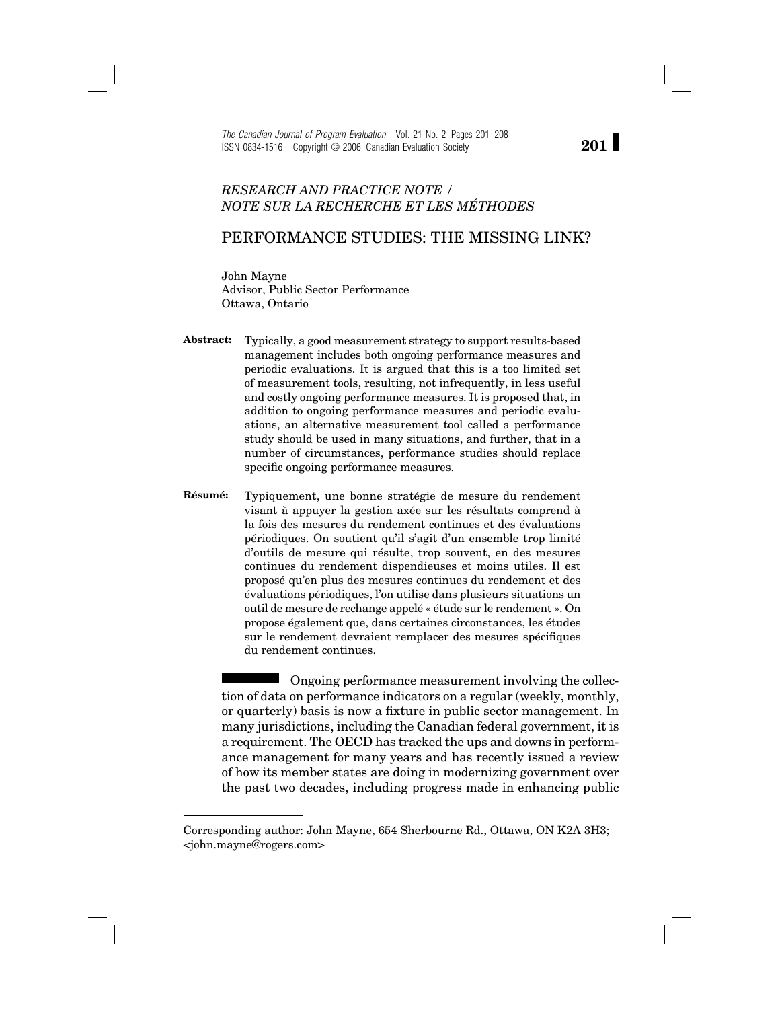*The Canadian Journal of Program Evaluation* Vol. 21 No. 2 Pages 201–208 ISSN 0834-1516 Copyright © 2006 Canadian Evaluation Society

## *RESEARCH AND PRACTICE NOTE / NOTE SUR LA RECHERCHE ET LES MÉTHODES*

## PERFORMANCE STUDIES: THE MISSING LINK?

John Mayne Advisor, Public Sector Performance Ottawa, Ontario

- **Abstract:** Typically, a good measurement strategy to support results-based management includes both ongoing performance measures and periodic evaluations. It is argued that this is a too limited set of measurement tools, resulting, not infrequently, in less useful and costly ongoing performance measures. It is proposed that, in addition to ongoing performance measures and periodic evaluations, an alternative measurement tool called a performance study should be used in many situations, and further, that in a number of circumstances, performance studies should replace specific ongoing performance measures.
- **Résumé:** Typiquement, une bonne stratégie de mesure du rendement visant à appuyer la gestion axée sur les résultats comprend à la fois des mesures du rendement continues et des évaluations périodiques. On soutient qu'il s'agit d'un ensemble trop limité d'outils de mesure qui résulte, trop souvent, en des mesures continues du rendement dispendieuses et moins utiles. Il est proposé qu'en plus des mesures continues du rendement et des évaluations périodiques, l'on utilise dans plusieurs situations un outil de mesure de rechange appelé « étude sur le rendement ». On propose également que, dans certaines circonstances, les études sur le rendement devraient remplacer des mesures spécifiques du rendement continues.

Ongoing performance measurement involving the collection of data on performance indicators on a regular (weekly, monthly, or quarterly) basis is now a fixture in public sector management. In many jurisdictions, including the Canadian federal government, it is a requirement. The OECD has tracked the ups and downs in performance management for many years and has recently issued a review of how its member states are doing in modernizing government over the past two decades, including progress made in enhancing public

**201**

Corresponding author: John Mayne, 654 Sherbourne Rd., Ottawa, ON K2A 3H3; <john.mayne@rogers.com>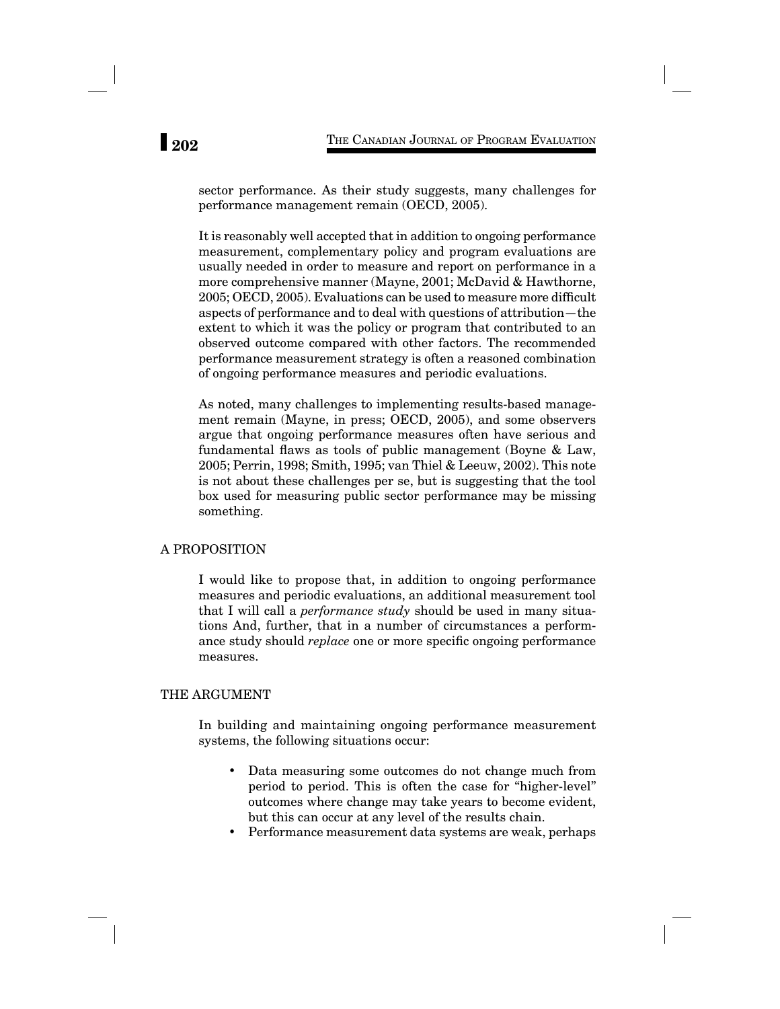sector performance. As their study suggests, many challenges for performance management remain (OECD, 2005).

It is reasonably well accepted that in addition to ongoing performance measurement, complementary policy and program evaluations are usually needed in order to measure and report on performance in a more comprehensive manner (Mayne, 2001; McDavid & Hawthorne, 2005; OECD, 2005). Evaluations can be used to measure more difficult aspects of performance and to deal with questions of attribution—the extent to which it was the policy or program that contributed to an observed outcome compared with other factors. The recommended performance measurement strategy is often a reasoned combination of ongoing performance measures and periodic evaluations.

As noted, many challenges to implementing results-based management remain (Mayne, in press; OECD, 2005), and some observers argue that ongoing performance measures often have serious and fundamental flaws as tools of public management (Boyne  $\&$  Law, 2005; Perrin, 1998; Smith, 1995; van Thiel & Leeuw, 2002). This note is not about these challenges per se, but is suggesting that the tool box used for measuring public sector performance may be missing something.

### A PROPOSITION

I would like to propose that, in addition to ongoing performance measures and periodic evaluations, an additional measurement tool that I will call a *performance study* should be used in many situations And, further, that in a number of circumstances a performance study should *replace* one or more specific ongoing performance measures.

### THE ARGUMENT

In building and maintaining ongoing performance measurement systems, the following situations occur:

- Data measuring some outcomes do not change much from period to period. This is often the case for "higher-level" outcomes where change may take years to become evident, but this can occur at any level of the results chain.
- Performance measurement data systems are weak, perhaps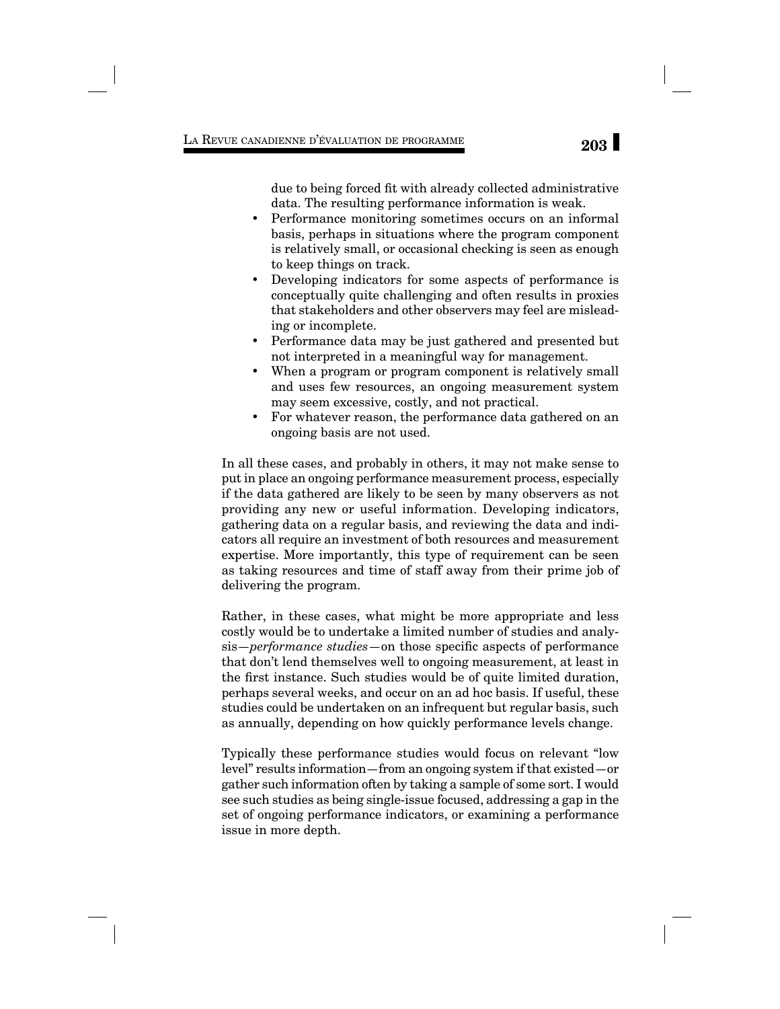due to being forced fit with already collected administrative data. The resulting performance information is weak.

- Performance monitoring sometimes occurs on an informal basis, perhaps in situations where the program component is relatively small, or occasional checking is seen as enough to keep things on track.
- Developing indicators for some aspects of performance is conceptually quite challenging and often results in proxies that stakeholders and other observers may feel are misleading or incomplete.
- Performance data may be just gathered and presented but not interpreted in a meaningful way for management.
- When a program or program component is relatively small and uses few resources, an ongoing measurement system may seem excessive, costly, and not practical.
- For whatever reason, the performance data gathered on an ongoing basis are not used.

In all these cases, and probably in others, it may not make sense to put in place an ongoing performance measurement process, especially if the data gathered are likely to be seen by many observers as not providing any new or useful information. Developing indicators, gathering data on a regular basis, and reviewing the data and indicators all require an investment of both resources and measurement expertise. More importantly, this type of requirement can be seen as taking resources and time of staff away from their prime job of delivering the program.

Rather, in these cases, what might be more appropriate and less costly would be to undertake a limited number of studies and analysis—*performance studies*—on those specific aspects of performance that don't lend themselves well to ongoing measurement, at least in the first instance. Such studies would be of quite limited duration, perhaps several weeks, and occur on an ad hoc basis. If useful, these studies could be undertaken on an infrequent but regular basis, such as annually, depending on how quickly performance levels change.

Typically these performance studies would focus on relevant "low level" results information—from an ongoing system if that existed—or gather such information often by taking a sample of some sort. I would see such studies as being single-issue focused, addressing a gap in the set of ongoing performance indicators, or examining a performance issue in more depth.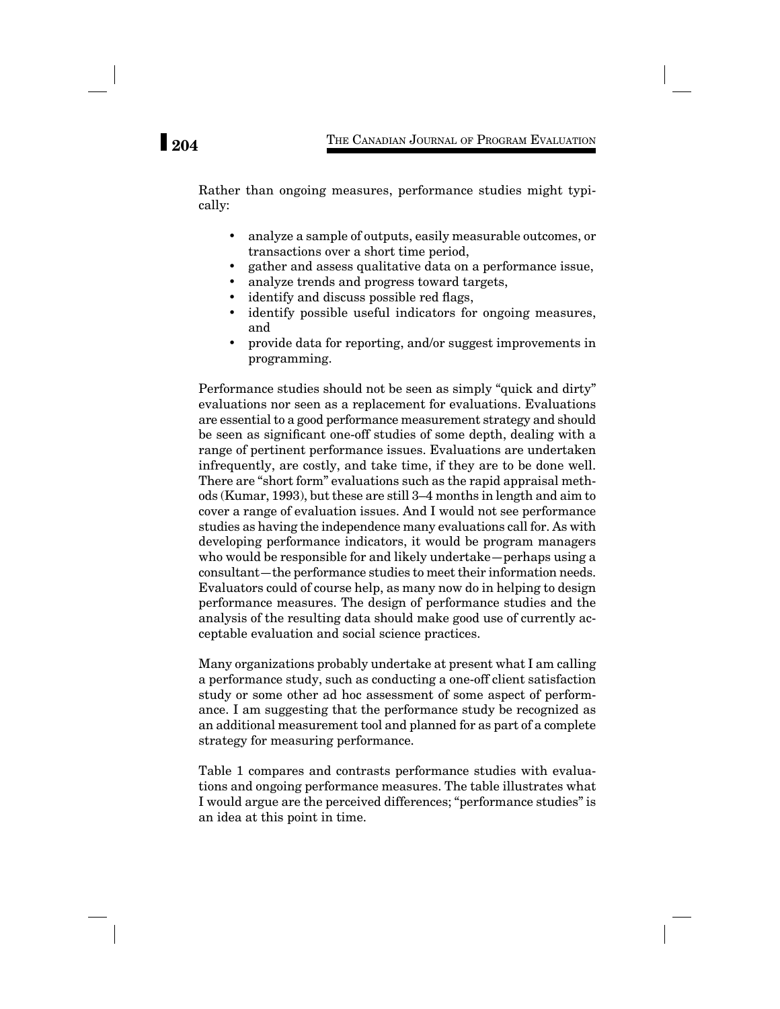Rather than ongoing measures, performance studies might typically:

- analyze a sample of outputs, easily measurable outcomes, or transactions over a short time period,
- gather and assess qualitative data on a performance issue,
- analyze trends and progress toward targets,
- identify and discuss possible red flags,
- identify possible useful indicators for ongoing measures, and
- provide data for reporting, and/or suggest improvements in programming.

Performance studies should not be seen as simply "quick and dirty" evaluations nor seen as a replacement for evaluations. Evaluations are essential to a good performance measurement strategy and should be seen as significant one-off studies of some depth, dealing with a range of pertinent performance issues. Evaluations are undertaken infrequently, are costly, and take time, if they are to be done well. There are "short form" evaluations such as the rapid appraisal methods (Kumar, 1993), but these are still 3–4 months in length and aim to cover a range of evaluation issues. And I would not see performance studies as having the independence many evaluations call for. As with developing performance indicators, it would be program managers who would be responsible for and likely undertake—perhaps using a consultant—the performance studies to meet their information needs. Evaluators could of course help, as many now do in helping to design performance measures. The design of performance studies and the analysis of the resulting data should make good use of currently acceptable evaluation and social science practices.

Many organizations probably undertake at present what I am calling a performance study, such as conducting a one-off client satisfaction study or some other ad hoc assessment of some aspect of performance. I am suggesting that the performance study be recognized as an additional measurement tool and planned for as part of a complete strategy for measuring performance.

Table 1 compares and contrasts performance studies with evaluations and ongoing performance measures. The table illustrates what I would argue are the perceived differences; "performance studies" is an idea at this point in time.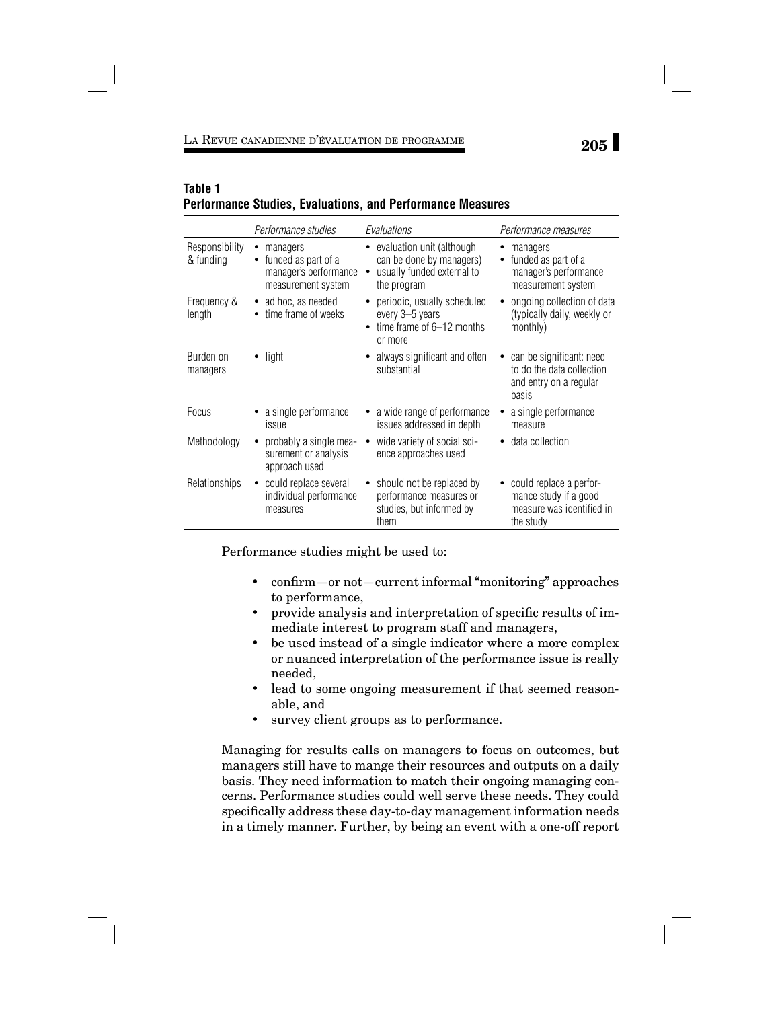# **205** LA REVUE CANADIENNE D'ÉVALUATION DE PROGRAMME

# **Table 1 Performance Studies, Evaluations, and Performance Measures**

|                             | Performance studies                                                                      | Evaluations                                                                                            | Performance measures                                                                       |
|-----------------------------|------------------------------------------------------------------------------------------|--------------------------------------------------------------------------------------------------------|--------------------------------------------------------------------------------------------|
| Responsibility<br>& funding | managers<br>٠<br>funded as part of a<br>٠<br>manager's performance<br>measurement system | • evaluation unit (although<br>can be done by managers)<br>• usually funded external to<br>the program | managers<br>funded as part of a<br>٠<br>manager's performance<br>measurement system        |
| Frequency &<br>length       | ad hoc, as needed<br>$\bullet$<br>time frame of weeks                                    | • periodic, usually scheduled<br>every 3-5 years<br>time frame of 6-12 months<br>or more               | ongoing collection of data<br>(typically daily, weekly or<br>monthly)                      |
| Burden on<br>managers       | light                                                                                    | always significant and often<br>substantial                                                            | can be significant: need<br>to do the data collection<br>and entry on a regular<br>basis   |
| Focus                       | a single performance<br>issue                                                            | a wide range of performance<br>issues addressed in depth                                               | a single performance<br>measure                                                            |
| Methodology                 | probably a single mea-<br>surement or analysis<br>approach used                          | wide variety of social sci-<br>ence approaches used                                                    | data collection                                                                            |
| Relationships               | could replace several<br>٠<br>individual performance<br>measures                         | should not be replaced by<br>performance measures or<br>studies, but informed by<br>them               | could replace a perfor-<br>mance study if a good<br>measure was identified in<br>the study |

Performance studies might be used to:

- confirm—or not—current informal "monitoring" approaches to performance,
- provide analysis and interpretation of specific results of immediate interest to program staff and managers,
- be used instead of a single indicator where a more complex or nuanced interpretation of the performance issue is really needed,
- lead to some ongoing measurement if that seemed reasonable, and
- survey client groups as to performance.

Managing for results calls on managers to focus on outcomes, but managers still have to mange their resources and outputs on a daily basis. They need information to match their ongoing managing concerns. Performance studies could well serve these needs. They could specifically address these day-to-day management information needs in a timely manner. Further, by being an event with a one-off report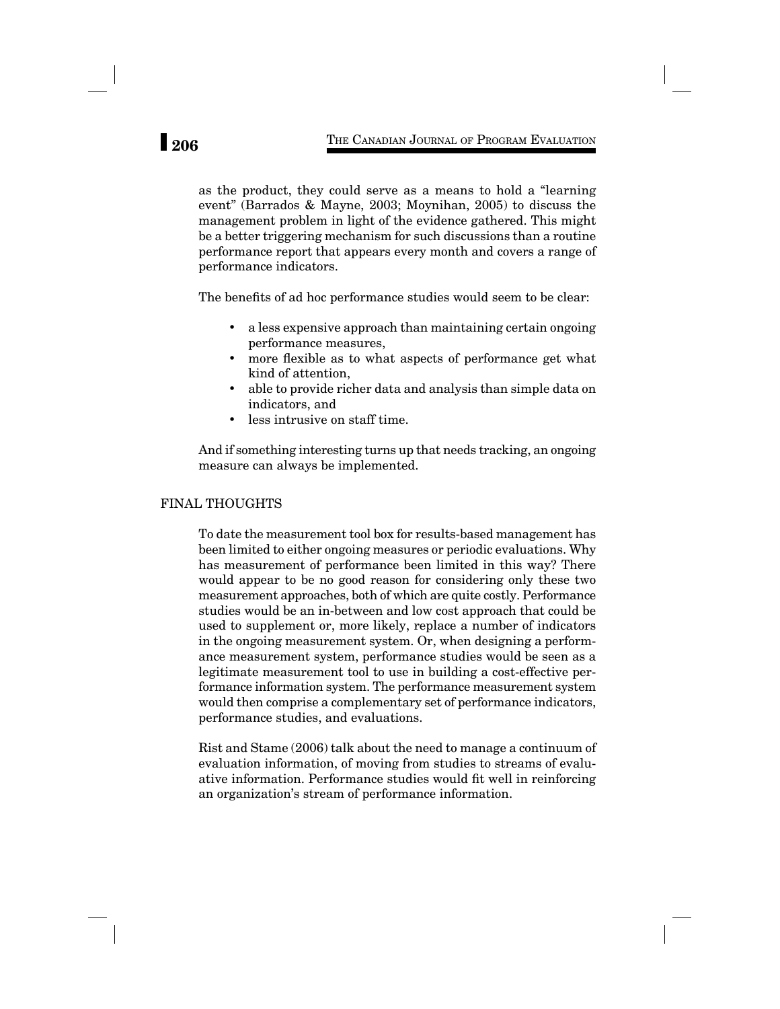as the product, they could serve as a means to hold a "learning event" (Barrados & Mayne, 2003; Moynihan, 2005) to discuss the management problem in light of the evidence gathered. This might be a better triggering mechanism for such discussions than a routine performance report that appears every month and covers a range of performance indicators.

The benefits of ad hoc performance studies would seem to be clear:

- a less expensive approach than maintaining certain ongoing performance measures,
- more flexible as to what aspects of performance get what kind of attention,
- able to provide richer data and analysis than simple data on indicators, and
- less intrusive on staff time.

And if something interesting turns up that needs tracking, an ongoing measure can always be implemented.

## FINAL THOUGHTS

To date the measurement tool box for results-based management has been limited to either ongoing measures or periodic evaluations. Why has measurement of performance been limited in this way? There would appear to be no good reason for considering only these two measurement approaches, both of which are quite costly. Performance studies would be an in-between and low cost approach that could be used to supplement or, more likely, replace a number of indicators in the ongoing measurement system. Or, when designing a performance measurement system, performance studies would be seen as a legitimate measurement tool to use in building a cost-effective performance information system. The performance measurement system would then comprise a complementary set of performance indicators, performance studies, and evaluations.

Rist and Stame (2006) talk about the need to manage a continuum of evaluation information, of moving from studies to streams of evaluative information. Performance studies would fit well in reinforcing an organization's stream of performance information.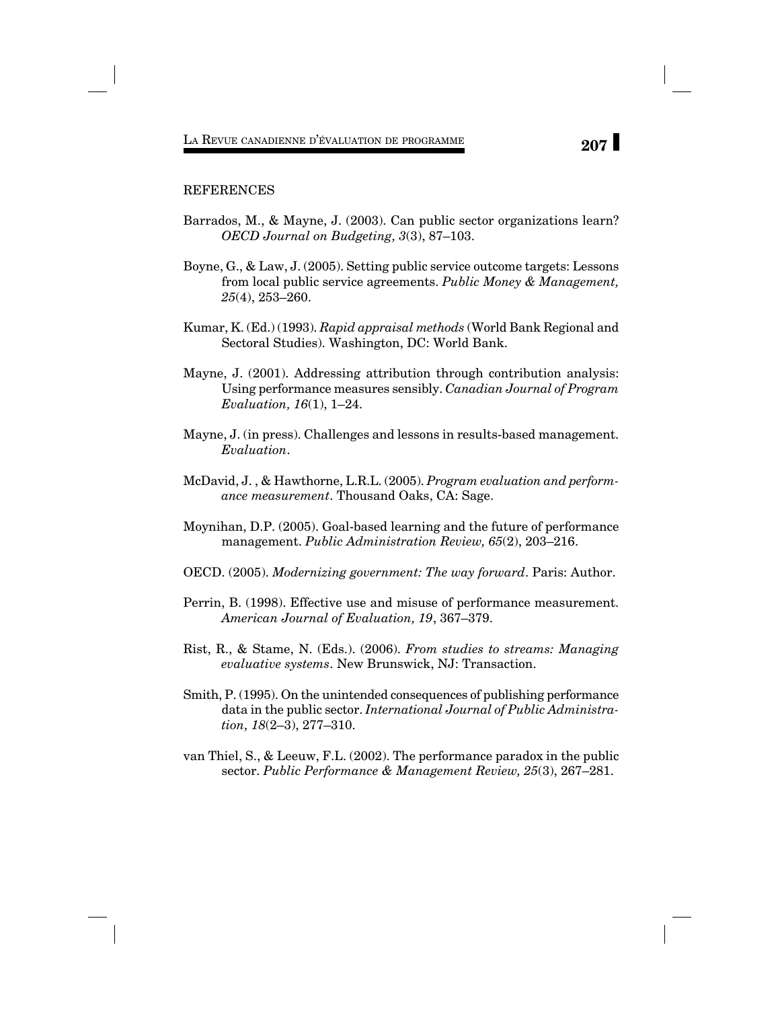### REFERENCES

- Barrados, M., & Mayne, J. (2003). Can public sector organizations learn? *OECD Journal on Budgeting, 3*(3), 87–103.
- Boyne, G., & Law, J. (2005). Setting public service outcome targets: Lessons from local public service agreements. *Public Money & Management, 25*(4), 253–260.
- Kumar, K. (Ed.) (1993). *Rapid appraisal methods* (World Bank Regional and Sectoral Studies). Washington, DC: World Bank.
- Mayne, J. (2001). Addressing attribution through contribution analysis: Using performance measures sensibly. *Canadian Journal of Program Evaluation, 16*(1), 1–24.
- Mayne, J. (in press). Challenges and lessons in results-based management. *Evaluation*.
- McDavid, J. , & Hawthorne, L.R.L. (2005). *Program evaluation and performance measurement*. Thousand Oaks, CA: Sage.
- Moynihan, D.P. (2005). Goal-based learning and the future of performance management. *Public Administration Review, 65*(2), 203–216.
- OECD. (2005). *Modernizing government: The way forward*. Paris: Author.
- Perrin, B. (1998). Effective use and misuse of performance measurement. *American Journal of Evaluation, 19*, 367–379.
- Rist, R., & Stame, N. (Eds.). (2006). *From studies to streams: Managing evaluative systems*. New Brunswick, NJ: Transaction.
- Smith, P. (1995). On the unintended consequences of publishing performance data in the public sector. *International Journal of Public Administration, 18*(2–3), 277–310.
- van Thiel, S., & Leeuw, F.L. (2002). The performance paradox in the public sector. *Public Performance & Management Review, 25*(3), 267–281.